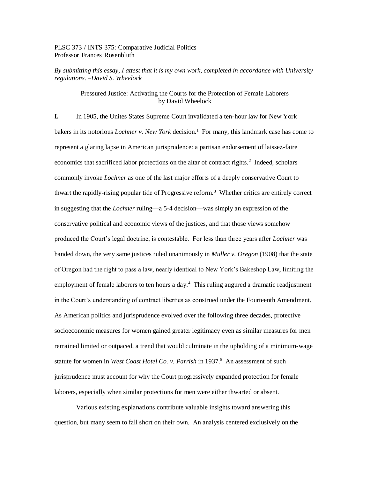PLSC 373 / INTS 375: Comparative Judicial Politics Professor Frances Rosenbluth

*By submitting this essay, I attest that it is my own work, completed in accordance with University regulations. –David S. Wheelock*

## Pressured Justice: Activating the Courts for the Protection of Female Laborers by David Wheelock

**I.** In 1905, the Unites States Supreme Court invalidated a ten-hour law for New York bakers in its notorious *Lochner v. New York* decision.<sup>1</sup> For many, this landmark case has come to represent a glaring lapse in American jurisprudence: a partisan endorsement of laissez-faire economics that sacrificed labor protections on the altar of contract rights.<sup>2</sup> Indeed, scholars commonly invoke *Lochner* as one of the last major efforts of a deeply conservative Court to thwart the rapidly-rising popular tide of Progressive reform.<sup>3</sup> Whether critics are entirely correct in suggesting that the *Lochner* ruling—a 5-4 decision—was simply an expression of the conservative political and economic views of the justices, and that those views somehow produced the Court's legal doctrine, is contestable. For less than three years after *Lochner* was handed down, the very same justices ruled unanimously in *Muller v. Oregon* (1908) that the state of Oregon had the right to pass a law, nearly identical to New York's Bakeshop Law, limiting the employment of female laborers to ten hours a day.<sup>4</sup> This ruling augured a dramatic readjustment in the Court's understanding of contract liberties as construed under the Fourteenth Amendment. As American politics and jurisprudence evolved over the following three decades, protective socioeconomic measures for women gained greater legitimacy even as similar measures for men remained limited or outpaced, a trend that would culminate in the upholding of a minimum-wage statute for women in *West Coast Hotel Co. v. Parrish* in 1937.<sup>5</sup> An assessment of such jurisprudence must account for why the Court progressively expanded protection for female laborers, especially when similar protections for men were either thwarted or absent.

Various existing explanations contribute valuable insights toward answering this question, but many seem to fall short on their own. An analysis centered exclusively on the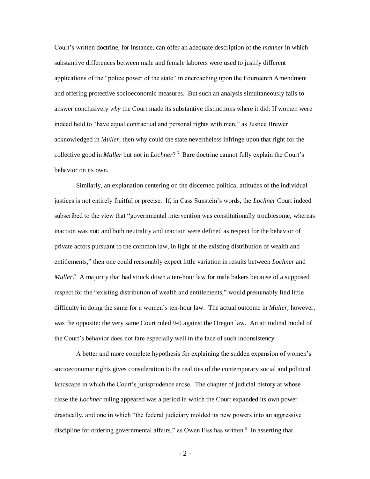Court's written doctrine, for instance, can offer an adequate description of the *manner* in which substantive differences between male and female laborers were used to justify different applications of the "police power of the state" in encroaching upon the Fourteenth Amendment and offering protective socioeconomic measures. But such an analysis simultaneously fails to answer conclusively *why* the Court made its substantive distinctions where it did: If women were indeed held to "have equal contractual and personal rights with men," as Justice Brewer acknowledged in *Muller*, then why could the state nevertheless infringe upon that right for the collective good in *Muller* but not in *Lochner*? 6 Bare doctrine cannot fully explain the Court's behavior on its own.

Similarly, an explanation centering on the discerned political attitudes of the individual justices is not entirely fruitful or precise. If, in Cass Sunstein's words, the *Lochner* Court indeed subscribed to the view that "governmental intervention was constitutionally troublesome, whereas inaction was not; and both neutrality and inaction were defined as respect for the behavior of private actors pursuant to the common law, in light of the existing distribution of wealth and entitlements," then one could reasonably expect little variation in results between *Lochner* and Muller.<sup>7</sup> A majority that had struck down a ten-hour law for male bakers because of a supposed respect for the "existing distribution of wealth and entitlements," would presumably find little difficulty in doing the same for a women's ten-hour law. The actual outcome in *Muller*, however, was the opposite: the very same Court ruled 9-0 against the Oregon law. An attitudinal model of the Court's behavior does not fare especially well in the face of such inconsistency.

A better and more complete hypothesis for explaining the sudden expansion of women's socioeconomic rights gives consideration to the realities of the contemporary social and political landscape in which the Court's jurisprudence arose. The chapter of judicial history at whose close the *Lochner* ruling appeared was a period in which the Court expanded its own power drastically, and one in which "the federal judiciary molded its new powers into an aggressive discipline for ordering governmental affairs," as Owen Fiss has written. $8\,$  In asserting that

 $-2-$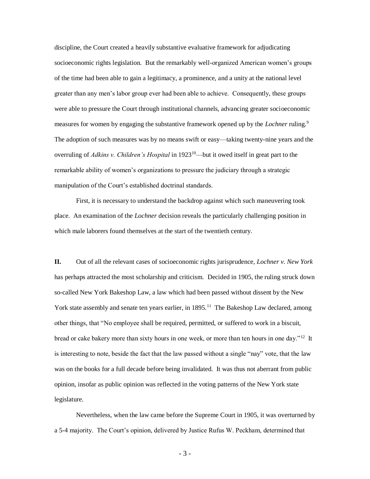discipline, the Court created a heavily substantive evaluative framework for adjudicating socioeconomic rights legislation. But the remarkably well-organized American women's groups of the time had been able to gain a legitimacy, a prominence, and a unity at the national level greater than any men's labor group ever had been able to achieve. Consequently, these groups were able to pressure the Court through institutional channels, advancing greater socioeconomic measures for women by engaging the substantive framework opened up by the *Lochner* ruling.<sup>9</sup> The adoption of such measures was by no means swift or easy—taking twenty-nine years and the overruling of *Adkins v. Children's Hospital* in 1923<sup>10</sup>—but it owed itself in great part to the remarkable ability of women's organizations to pressure the judiciary through a strategic manipulation of the Court's established doctrinal standards.

First, it is necessary to understand the backdrop against which such maneuvering took place. An examination of the *Lochner* decision reveals the particularly challenging position in which male laborers found themselves at the start of the twentieth century.

**II.** Out of all the relevant cases of socioeconomic rights jurisprudence, *Lochner v. New York*  has perhaps attracted the most scholarship and criticism. Decided in 1905, the ruling struck down so-called New York Bakeshop Law, a law which had been passed without dissent by the New York state assembly and senate ten years earlier, in 1895.<sup>11</sup> The Bakeshop Law declared, among other things, that "No employee shall be required, permitted, or suffered to work in a biscuit, bread or cake bakery more than sixty hours in one week, or more than ten hours in one day."<sup>12</sup> It is interesting to note, beside the fact that the law passed without a single "nay" vote, that the law was on the books for a full decade before being invalidated. It was thus not aberrant from public opinion, insofar as public opinion was reflected in the voting patterns of the New York state legislature.

Nevertheless, when the law came before the Supreme Court in 1905, it was overturned by a 5-4 majority. The Court's opinion, delivered by Justice Rufus W. Peckham, determined that

- 3 -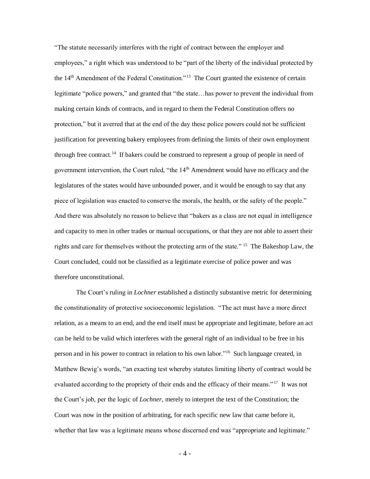"The statute necessarily interferes with the right of contract between the employer and employees," a right which was understood to be "part of the liberty of the individual protected by the  $14<sup>th</sup>$  Amendment of the Federal Constitution."<sup>13</sup> The Court granted the existence of certain legitimate "police powers," and granted that "the state…has power to prevent the individual from making certain kinds of contracts, and in regard to them the Federal Constitution offers no protection," but it averred that at the end of the day these police powers could not be sufficient justification for preventing bakery employees from defining the limits of their own employment through free contract.<sup>14</sup> If bakers could be construed to represent a group of people in need of government intervention, the Court ruled, "the 14<sup>th</sup> Amendment would have no efficacy and the legislatures of the states would have unbounded power, and it would be enough to say that any piece of legislation was enacted to conserve the morals, the health, or the safety of the people." And there was absolutely no reason to believe that "bakers as a class are not equal in intelligence and capacity to men in other trades or manual occupations, or that they are not able to assert their rights and care for themselves without the protecting arm of the state." <sup>15</sup> The Bakeshop Law, the Court concluded, could not be classified as a legitimate exercise of police power and was therefore unconstitutional.

The Court's ruling in *Lochner* established a distinctly substantive metric for determining the constitutionality of protective socioeconomic legislation. "The act must have a more direct relation, as a means to an end, and the end itself must be appropriate and legitimate, before an act can be held to be valid which interferes with the general right of an individual to be free in his person and in his power to contract in relation to his own labor."<sup>16</sup> Such language created, in Matthew Bewig's words, "an exacting test whereby statutes limiting liberty of contract would be evaluated according to the propriety of their ends and the efficacy of their means."<sup>17</sup> It was not the Court's job, per the logic of *Lochner*, merely to interpret the text of the Constitution; the Court was now in the position of arbitrating, for each specific new law that came before it, whether that law was a legitimate means whose discerned end was "appropriate and legitimate."

- 4 -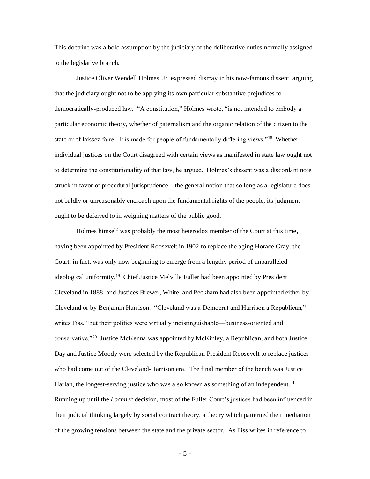This doctrine was a bold assumption by the judiciary of the deliberative duties normally assigned to the legislative branch.

Justice Oliver Wendell Holmes, Jr. expressed dismay in his now-famous dissent, arguing that the judiciary ought not to be applying its own particular substantive prejudices to democratically-produced law. "A constitution," Holmes wrote, "is not intended to embody a particular economic theory, whether of paternalism and the organic relation of the citizen to the state or of laissez faire. It is made for people of fundamentally differing views."<sup>18</sup> Whether individual justices on the Court disagreed with certain views as manifested in state law ought not to determine the constitutionality of that law, he argued. Holmes's dissent was a discordant note struck in favor of procedural jurisprudence—the general notion that so long as a legislature does not baldly or unreasonably encroach upon the fundamental rights of the people, its judgment ought to be deferred to in weighing matters of the public good.

Holmes himself was probably the most heterodox member of the Court at this time, having been appointed by President Roosevelt in 1902 to replace the aging Horace Gray; the Court, in fact, was only now beginning to emerge from a lengthy period of unparalleled ideological uniformity.<sup>19</sup> Chief Justice Melville Fuller had been appointed by President Cleveland in 1888, and Justices Brewer, White, and Peckham had also been appointed either by Cleveland or by Benjamin Harrison. "Cleveland was a Democrat and Harrison a Republican," writes Fiss, "but their politics were virtually indistinguishable—business-oriented and conservative."<sup>20</sup> Justice McKenna was appointed by McKinley, a Republican, and both Justice Day and Justice Moody were selected by the Republican President Roosevelt to replace justices who had come out of the Cleveland-Harrison era. The final member of the bench was Justice Harlan, the longest-serving justice who was also known as something of an independent.<sup>21</sup> Running up until the *Lochner* decision, most of the Fuller Court's justices had been influenced in their judicial thinking largely by social contract theory, a theory which patterned their mediation of the growing tensions between the state and the private sector. As Fiss writes in reference to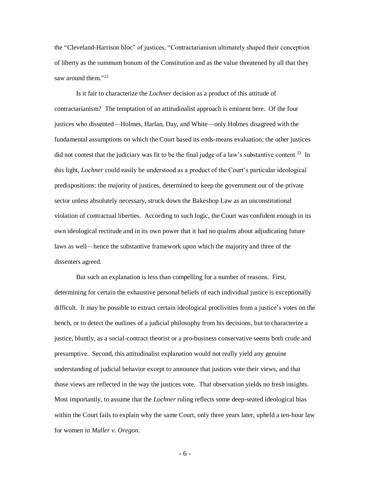the "Cleveland-Harrison bloc" of justices, "Contractarianism ultimately shaped their conception of liberty as the summum bonum of the Constitution and as the value threatened by all that they saw around them."22

Is it fair to characterize the *Lochner* decision as a product of this attitude of contractarianism? The temptation of an attitudinalist approach is eminent here. Of the four justices who dissented—Holmes, Harlan, Day, and White—only Holmes disagreed with the fundamental assumptions on which the Court based its ends-means evaluation; the other justices did not contest that the judiciary was fit to be the final judge of a law's substantive content.<sup>23</sup> In this light, *Lochner* could easily be understood as a product of the Court's particular ideological predispositions: the majority of justices, determined to keep the government out of the private sector unless absolutely necessary, struck down the Bakeshop Law as an unconstitutional violation of contractual liberties. According to such logic, the Court was confident enough in its own ideological rectitude and in its own power that it had no qualms about adjudicating future laws as well—hence the substantive framework upon which the majority and three of the dissenters agreed.

But such an explanation is less than compelling for a number of reasons. First, determining for certain the exhaustive personal beliefs of each individual justice is exceptionally difficult. It may be possible to extract certain ideological proclivities from a justice's votes on the bench, or to detect the outlines of a judicial philosophy from his decisions, but to characterize a justice, bluntly, as a social-contract theorist or a pro-business conservative seems both crude and presumptive. Second, this attitudinalist explanation would not really yield any genuine understanding of judicial behavior except to announce that justices vote their views, and that those views are reflected in the way the justices vote. That observation yields no fresh insights. Most importantly, to assume that the *Lochner* ruling reflects some deep-seated ideological bias within the Court fails to explain why the same Court, only three years later, upheld a ten-hour law for women in *Muller v. Oregon*.

- 6 -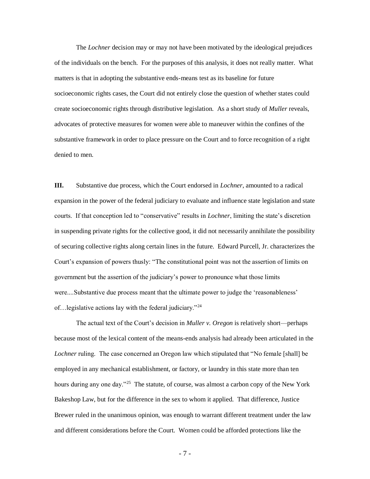The *Lochner* decision may or may not have been motivated by the ideological prejudices of the individuals on the bench. For the purposes of this analysis, it does not really matter. What matters is that in adopting the substantive ends-means test as its baseline for future socioeconomic rights cases, the Court did not entirely close the question of whether states could create socioeconomic rights through distributive legislation. As a short study of *Muller* reveals, advocates of protective measures for women were able to maneuver within the confines of the substantive framework in order to place pressure on the Court and to force recognition of a right denied to men.

**III.** Substantive due process, which the Court endorsed in *Lochner*, amounted to a radical expansion in the power of the federal judiciary to evaluate and influence state legislation and state courts. If that conception led to "conservative" results in *Lochner*, limiting the state's discretion in suspending private rights for the collective good, it did not necessarily annihilate the possibility of securing collective rights along certain lines in the future. Edward Purcell, Jr. characterizes the Court's expansion of powers thusly: "The constitutional point was not the assertion of limits on government but the assertion of the judiciary's power to pronounce what those limits were....Substantive due process meant that the ultimate power to judge the 'reasonableness' of…legislative actions lay with the federal judiciary."<sup>24</sup>

The actual text of the Court's decision in *Muller v. Oregon* is relatively short—perhaps because most of the lexical content of the means-ends analysis had already been articulated in the *Lochner* ruling. The case concerned an Oregon law which stipulated that "No female [shall] be employed in any mechanical establishment, or factory, or laundry in this state more than ten hours during any one day."<sup>25</sup> The statute, of course, was almost a carbon copy of the New York Bakeshop Law, but for the difference in the sex to whom it applied. That difference, Justice Brewer ruled in the unanimous opinion, was enough to warrant different treatment under the law and different considerations before the Court. Women could be afforded protections like the

- 7 -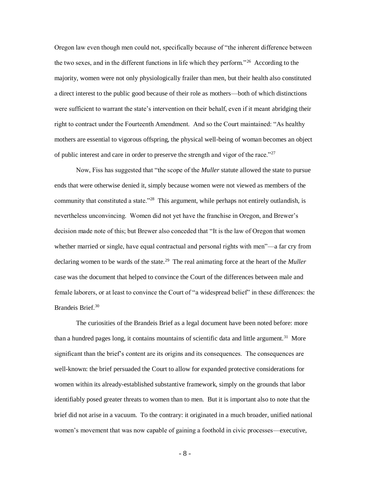Oregon law even though men could not, specifically because of "the inherent difference between the two sexes, and in the different functions in life which they perform."<sup>26</sup> According to the majority, women were not only physiologically frailer than men, but their health also constituted a direct interest to the public good because of their role as mothers—both of which distinctions were sufficient to warrant the state's intervention on their behalf, even if it meant abridging their right to contract under the Fourteenth Amendment. And so the Court maintained: "As healthy mothers are essential to vigorous offspring, the physical well-being of woman becomes an object of public interest and care in order to preserve the strength and vigor of the race."<sup>27</sup>

Now, Fiss has suggested that "the scope of the *Muller* statute allowed the state to pursue ends that were otherwise denied it, simply because women were not viewed as members of the community that constituted a state."<sup>28</sup> This argument, while perhaps not entirely outlandish, is nevertheless unconvincing. Women did not yet have the franchise in Oregon, and Brewer's decision made note of this; but Brewer also conceded that "It is the law of Oregon that women whether married or single, have equal contractual and personal rights with men<sup>"</sup>—a far cry from declaring women to be wards of the state.<sup>29</sup> The real animating force at the heart of the *Muller* case was the document that helped to convince the Court of the differences between male and female laborers, or at least to convince the Court of "a widespread belief" in these differences: the Brandeis Brief.<sup>30</sup>

The curiosities of the Brandeis Brief as a legal document have been noted before: more than a hundred pages long, it contains mountains of scientific data and little argument.<sup>31</sup> More significant than the brief's content are its origins and its consequences. The consequences are well-known: the brief persuaded the Court to allow for expanded protective considerations for women within its already-established substantive framework, simply on the grounds that labor identifiably posed greater threats to women than to men. But it is important also to note that the brief did not arise in a vacuum. To the contrary: it originated in a much broader, unified national women's movement that was now capable of gaining a foothold in civic processes—executive,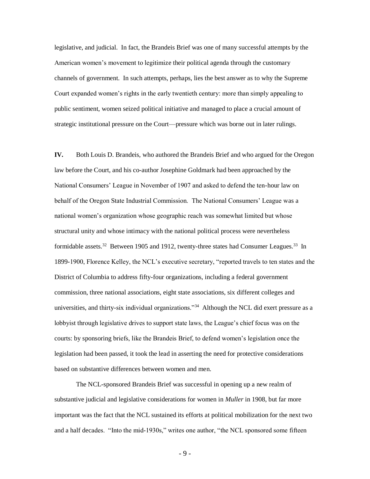legislative, and judicial. In fact, the Brandeis Brief was one of many successful attempts by the American women's movement to legitimize their political agenda through the customary channels of government. In such attempts, perhaps, lies the best answer as to why the Supreme Court expanded women's rights in the early twentieth century: more than simply appealing to public sentiment, women seized political initiative and managed to place a crucial amount of strategic institutional pressure on the Court—pressure which was borne out in later rulings.

**IV.** Both Louis D. Brandeis, who authored the Brandeis Brief and who argued for the Oregon law before the Court, and his co-author Josephine Goldmark had been approached by the National Consumers' League in November of 1907 and asked to defend the ten-hour law on behalf of the Oregon State Industrial Commission. The National Consumers' League was a national women's organization whose geographic reach was somewhat limited but whose structural unity and whose intimacy with the national political process were nevertheless formidable assets.<sup>32</sup> Between 1905 and 1912, twenty-three states had Consumer Leagues.<sup>33</sup> In 1899-1900, Florence Kelley, the NCL's executive secretary, "reported travels to ten states and the District of Columbia to address fifty-four organizations, including a federal government commission, three national associations, eight state associations, six different colleges and universities, and thirty-six individual organizations."<sup>34</sup> Although the NCL did exert pressure as a lobbyist through legislative drives to support state laws, the League's chief focus was on the courts: by sponsoring briefs, like the Brandeis Brief, to defend women's legislation once the legislation had been passed, it took the lead in asserting the need for protective considerations based on substantive differences between women and men.

The NCL-sponsored Brandeis Brief was successful in opening up a new realm of substantive judicial and legislative considerations for women in *Muller* in 1908, but far more important was the fact that the NCL sustained its efforts at political mobilization for the next two and a half decades. "Into the mid-1930s," writes one author, "the NCL sponsored some fifteen

- 9 -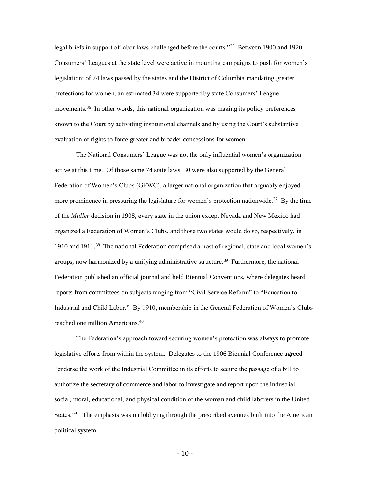legal briefs in support of labor laws challenged before the courts."<sup>35</sup> Between 1900 and 1920, Consumers' Leagues at the state level were active in mounting campaigns to push for women's legislation: of 74 laws passed by the states and the District of Columbia mandating greater protections for women, an estimated 34 were supported by state Consumers' League movements.<sup>36</sup> In other words, this national organization was making its policy preferences known to the Court by activating institutional channels and by using the Court's substantive evaluation of rights to force greater and broader concessions for women.

The National Consumers' League was not the only influential women's organization active at this time. Of those same 74 state laws, 30 were also supported by the General Federation of Women's Clubs (GFWC), a larger national organization that arguably enjoyed more prominence in pressuring the legislature for women's protection nationwide.<sup>37</sup> By the time of the *Muller* decision in 1908, every state in the union except Nevada and New Mexico had organized a Federation of Women's Clubs, and those two states would do so, respectively, in 1910 and 1911.<sup>38</sup> The national Federation comprised a host of regional, state and local women's groups, now harmonized by a unifying administrative structure.<sup>39</sup> Furthermore, the national Federation published an official journal and held Biennial Conventions, where delegates heard reports from committees on subjects ranging from "Civil Service Reform" to "Education to Industrial and Child Labor." By 1910, membership in the General Federation of Women's Clubs reached one million Americans.<sup>40</sup>

The Federation's approach toward securing women's protection was always to promote legislative efforts from within the system. Delegates to the 1906 Biennial Conference agreed "endorse the work of the Industrial Committee in its efforts to secure the passage of a bill to authorize the secretary of commerce and labor to investigate and report upon the industrial, social, moral, educational, and physical condition of the woman and child laborers in the United States."<sup>41</sup> The emphasis was on lobbying through the prescribed avenues built into the American political system.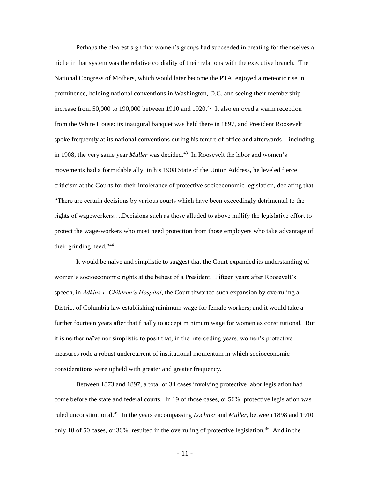Perhaps the clearest sign that women's groups had succeeded in creating for themselves a niche in that system was the relative cordiality of their relations with the executive branch. The National Congress of Mothers, which would later become the PTA, enjoyed a meteoric rise in prominence, holding national conventions in Washington, D.C. and seeing their membership increase from 50,000 to 190,000 between 1910 and 1920.<sup>42</sup> It also enjoyed a warm reception from the White House: its inaugural banquet was held there in 1897, and President Roosevelt spoke frequently at its national conventions during his tenure of office and afterwards—including in 1908, the very same year *Muller* was decided.<sup>43</sup> In Roosevelt the labor and women's movements had a formidable ally: in his 1908 State of the Union Address, he leveled fierce criticism at the Courts for their intolerance of protective socioeconomic legislation, declaring that "There are certain decisions by various courts which have been exceedingly detrimental to the rights of wageworkers….Decisions such as those alluded to above nullify the legislative effort to protect the wage-workers who most need protection from those employers who take advantage of their grinding need."<sup>44</sup>

It would be naïve and simplistic to suggest that the Court expanded its understanding of women's socioeconomic rights at the behest of a President. Fifteen years after Roosevelt's speech, in *Adkins v. Children's Hospital*, the Court thwarted such expansion by overruling a District of Columbia law establishing minimum wage for female workers; and it would take a further fourteen years after that finally to accept minimum wage for women as constitutional. But it is neither naïve nor simplistic to posit that, in the interceding years, women's protective measures rode a robust undercurrent of institutional momentum in which socioeconomic considerations were upheld with greater and greater frequency.

Between 1873 and 1897, a total of 34 cases involving protective labor legislation had come before the state and federal courts. In 19 of those cases, or 56%, protective legislation was ruled unconstitutional.<sup>45</sup> In the years encompassing *Lochner* and *Muller*, between 1898 and 1910, only 18 of 50 cases, or 36%, resulted in the overruling of protective legislation.<sup>46</sup> And in the

- 11 -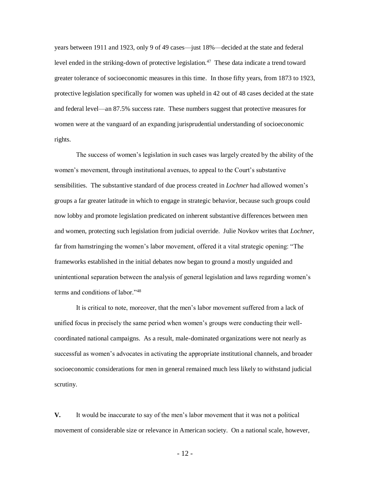years between 1911 and 1923, only 9 of 49 cases—just 18%—decided at the state and federal level ended in the striking-down of protective legislation.<sup>47</sup> These data indicate a trend toward greater tolerance of socioeconomic measures in this time. In those fifty years, from 1873 to 1923, protective legislation specifically for women was upheld in 42 out of 48 cases decided at the state and federal level—an 87.5% success rate. These numbers suggest that protective measures for women were at the vanguard of an expanding jurisprudential understanding of socioeconomic rights.

The success of women's legislation in such cases was largely created by the ability of the women's movement, through institutional avenues, to appeal to the Court's substantive sensibilities. The substantive standard of due process created in *Lochner* had allowed women's groups a far greater latitude in which to engage in strategic behavior, because such groups could now lobby and promote legislation predicated on inherent substantive differences between men and women, protecting such legislation from judicial override. Julie Novkov writes that *Lochner*, far from hamstringing the women's labor movement, offered it a vital strategic opening: "The frameworks established in the initial debates now began to ground a mostly unguided and unintentional separation between the analysis of general legislation and laws regarding women's terms and conditions of labor."<sup>48</sup>

It is critical to note, moreover, that the men's labor movement suffered from a lack of unified focus in precisely the same period when women's groups were conducting their wellcoordinated national campaigns. As a result, male-dominated organizations were not nearly as successful as women's advocates in activating the appropriate institutional channels, and broader socioeconomic considerations for men in general remained much less likely to withstand judicial scrutiny.

**V.** It would be inaccurate to say of the men's labor movement that it was not a political movement of considerable size or relevance in American society. On a national scale, however,

- 12 -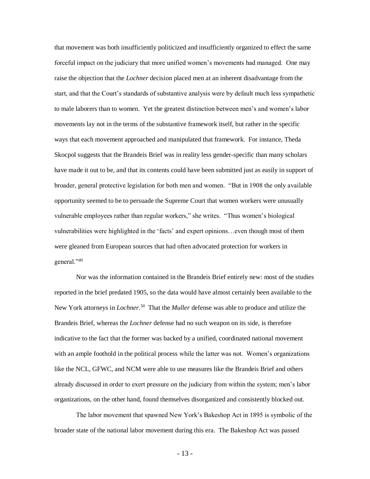that movement was both insufficiently politicized and insufficiently organized to effect the same forceful impact on the judiciary that more unified women's movements had managed. One may raise the objection that the *Lochner* decision placed men at an inherent disadvantage from the start, and that the Court's standards of substantive analysis were by default much less sympathetic to male laborers than to women. Yet the greatest distinction between men's and women's labor movements lay not in the terms of the substantive framework itself, but rather in the specific ways that each movement approached and manipulated that framework. For instance, Theda Skocpol suggests that the Brandeis Brief was in reality less gender-specific than many scholars have made it out to be, and that its contents could have been submitted just as easily in support of broader, general protective legislation for both men and women. "But in 1908 the only available opportunity seemed to be to persuade the Supreme Court that women workers were unusually vulnerable employees rather than regular workers," she writes. "Thus women's biological vulnerabilities were highlighted in the 'facts' and expert opinions…even though most of them were gleaned from European sources that had often advocated protection for workers in general."<sup>49</sup>

Nor was the information contained in the Brandeis Brief entirely new: most of the studies reported in the brief predated 1905, so the data would have almost certainly been available to the New York attorneys in *Lochner*. 50 That the *Muller* defense was able to produce and utilize the Brandeis Brief, whereas the *Lochner* defense had no such weapon on its side, is therefore indicative to the fact that the former was backed by a unified, coordinated national movement with an ample foothold in the political process while the latter was not. Women's organizations like the NCL, GFWC, and NCM were able to use measures like the Brandeis Brief and others already discussed in order to exert pressure on the judiciary from within the system; men's labor organizations, on the other hand, found themselves disorganized and consistently blocked out.

The labor movement that spawned New York's Bakeshop Act in 1895 is symbolic of the broader state of the national labor movement during this era. The Bakeshop Act was passed

- 13 -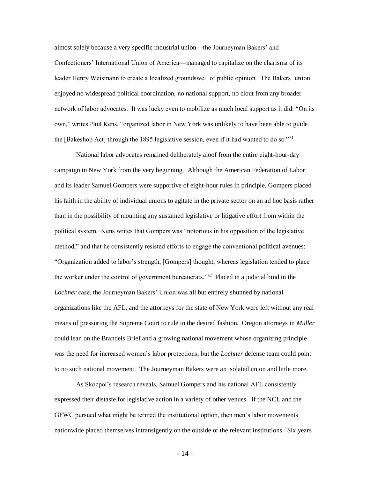almost solely because a very specific industrial union—the Journeyman Bakers' and Confectioners' International Union of America—managed to capitalize on the charisma of its leader Henry Weismann to create a localized groundswell of public opinion. The Bakers' union enjoyed no widespread political coordination, no national support, no clout from any broader network of labor advocates. It was lucky even to mobilize as much local support as it did: "On its own," writes Paul Kens, "organized labor in New York was unlikely to have been able to guide the [Bakeshop Act] through the 1895 legislative session, even if it had wanted to do so."<sup>51</sup>

National labor advocates remained deliberately aloof from the entire eight-hour-day campaign in New York from the very beginning. Although the American Federation of Labor and its leader Samuel Gompers were supportive of eight-hour rules in principle, Gompers placed his faith in the ability of individual unions to agitate in the private sector on an ad hoc basis rather than in the possibility of mounting any sustained legislative or litigative effort from within the political system. Kens writes that Gompers was "notorious in his opposition of the legislative method," and that he consistently resisted efforts to engage the conventional political avenues: "Organization added to labor's strength, [Gompers] thought, whereas legislation tended to place the worker under the control of government bureaucrats."<sup>52</sup> Placed in a judicial bind in the *Lochner* case, the Journeyman Bakers' Union was all but entirely shunned by national organizations like the AFL, and the attorneys for the state of New York were left without any real means of pressuring the Supreme Court to rule in the desired fashion. Oregon attorneys in *Muller* could lean on the Brandeis Brief and a growing national movement whose organizing principle was the need for increased women's labor protections; but the *Lochner* defense team could point to no such national movement. The Journeyman Bakers were an isolated union and little more.

As Skocpol's research reveals, Samuel Gompers and his national AFL consistently expressed their distaste for legislative action in a variety of other venues. If the NCL and the GFWC pursued what might be termed the institutional option, then men's labor movements nationwide placed themselves intransigently on the outside of the relevant institutions. Six years

- 14 -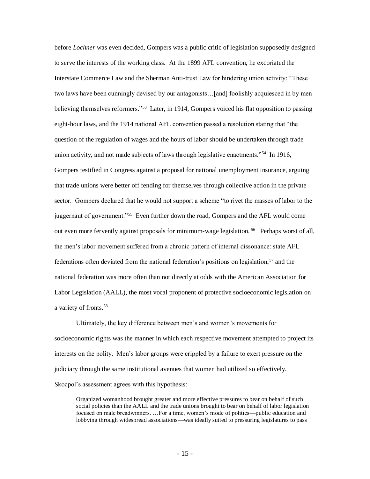before *Lochner* was even decided, Gompers was a public critic of legislation supposedly designed to serve the interests of the working class. At the 1899 AFL convention, he excoriated the Interstate Commerce Law and the Sherman Anti-trust Law for hindering union activity: "These two laws have been cunningly devised by our antagonists…[and] foolishly acquiesced in by men believing themselves reformers."<sup>53</sup> Later, in 1914, Gompers voiced his flat opposition to passing eight-hour laws, and the 1914 national AFL convention passed a resolution stating that "the question of the regulation of wages and the hours of labor should be undertaken through trade union activity, and not made subjects of laws through legislative enactments."<sup>54</sup> In 1916, Gompers testified in Congress against a proposal for national unemployment insurance, arguing that trade unions were better off fending for themselves through collective action in the private sector. Gompers declared that he would not support a scheme "to rivet the masses of labor to the juggernaut of government."<sup>55</sup> Even further down the road, Gompers and the AFL would come out even more fervently against proposals for minimum-wage legislation.<sup>56</sup> Perhaps worst of all, the men's labor movement suffered from a chronic pattern of internal dissonance: state AFL federations often deviated from the national federation's positions on legislation,<sup>57</sup> and the national federation was more often than not directly at odds with the American Association for Labor Legislation (AALL), the most vocal proponent of protective socioeconomic legislation on a variety of fronts. 58

Ultimately, the key difference between men's and women's movements for socioeconomic rights was the manner in which each respective movement attempted to project its interests on the polity. Men's labor groups were crippled by a failure to exert pressure on the judiciary through the same institutional avenues that women had utilized so effectively. Skocpol's assessment agrees with this hypothesis:

Organized womanhood brought greater and more effective pressures to bear on behalf of such social policies than the AALL and the trade unions brought to bear on behalf of labor legislation focused on male breadwinners. …For a time, women's mode of politics—public education and lobbying through widespread associations—was ideally suited to pressuring legislatures to pass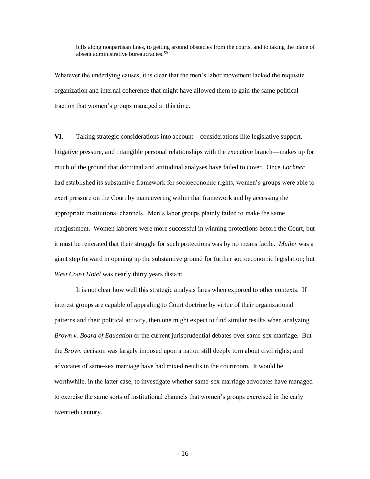bills along nonpartisan lines, to getting around obstacles from the courts, and to taking the place of absent administrative bureaucracies.<sup>59</sup>

Whatever the underlying causes, it is clear that the men's labor movement lacked the requisite organization and internal coherence that might have allowed them to gain the same political traction that women's groups managed at this time.

**VI.** Taking strategic considerations into account—considerations like legislative support, litigative pressure, and intangible personal relationships with the executive branch—makes up for much of the ground that doctrinal and attitudinal analyses have failed to cover. Once *Lochner* had established its substantive framework for socioeconomic rights, women's groups were able to exert pressure on the Court by maneuvering within that framework and by accessing the appropriate institutional channels. Men's labor groups plainly failed to make the same readjustment. Women laborers were more successful in winning protections before the Court, but it must be reiterated that their struggle for such protections was by no means facile. *Muller* was a giant step forward in opening up the substantive ground for further socioeconomic legislation; but *West Coast Hotel* was nearly thirty years distant.

It is not clear how well this strategic analysis fares when exported to other contexts. If interest groups are capable of appealing to Court doctrine by virtue of their organizational patterns and their political activity, then one might expect to find similar results when analyzing *Brown v. Board of Education* or the current jurisprudential debates over same-sex marriage. But the *Brown* decision was largely imposed upon a nation still deeply torn about civil rights; and advocates of same-sex marriage have had mixed results in the courtroom. It would be worthwhile, in the latter case, to investigate whether same-sex marriage advocates have managed to exercise the same sorts of institutional channels that women's groups exercised in the early twentieth century.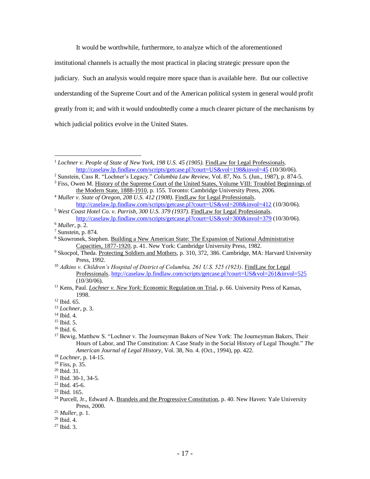It would be worthwhile, furthermore, to analyze which of the aforementioned institutional channels is actually the most practical in placing strategic pressure upon the judiciary. Such an analysis would require more space than is available here. But our collective understanding of the Supreme Court and of the American political system in general would profit greatly from it; and with it would undoubtedly come a much clearer picture of the mechanisms by which judicial politics evolve in the United States.

<sup>2</sup> Sunstein, Cass R. "Lochner's Legacy." *Columbia Law Review*, Vol. 87, No. 5. (Jun., 1987), p. 874-5. <sup>3</sup> Fiss, Owen M. History of the Supreme Court of the United States, Volume VIII: Troubled Beginnings of

 $\overline{a}$ 

- <sup>10</sup> *Adkins v. Children's Hospital of District of Columbia, 261 U.S. 525 (1923)*. FindLaw for Legal Professionals.<http://caselaw.lp.findlaw.com/scripts/getcase.pl?court=US&vol=261&invol=525>  $(10/30/06)$ .
- <sup>11</sup> Kens, Paul. *Lochner v. New York*: Economic Regulation on Trial, p. 66. University Press of Kansas, 1998.

<sup>17</sup> Bewig, Matthew S. "Lochner v. The Journeyman Bakers of New York: The Journeyman Bakers, Their Hours of Labor, and The Constitution: A Case Study in the Social History of Legal Thought." *The American Journal of Legal History*, Vol. 38, No. 4. (Oct., 1994), pp. 422.

<sup>1</sup> *Lochner v. People of State of New York, 198 U.S. 45 (1905)*. FindLaw for Legal Professionals. <http://caselaw.lp.findlaw.com/scripts/getcase.pl?court=US&vol=198&invol=45> (10/30/06).

the Modern State, 1888-1910, p. 155. Toronto: Cambridge University Press, 2006. <sup>4</sup> *Muller v. State of Oregon, 208 U.S. 412 (1908)*. FindLaw for Legal Professionals.

<http://caselaw.lp.findlaw.com/scripts/getcase.pl?court=US&vol=208&invol=412> (10/30/06). <sup>5</sup> *West Coast Hotel Co. v. Parrish, 300 U.S. 379 (1937)*. FindLaw for Legal Professionals.

<http://caselaw.lp.findlaw.com/scripts/getcase.pl?court=US&vol=300&invol=379> (10/30/06).

<sup>6</sup> *Muller*, p. 2.

<sup>7</sup> Sunstein, p. 874.

<sup>&</sup>lt;sup>8</sup> Skowronek, Stephen. Building a New American State: The Expansion of National Administrative Capacities, 1877-1920, p. 41. New York: Cambridge University Press, 1982.

<sup>&</sup>lt;sup>9</sup> Skocpol, Theda. Protecting Soldiers and Mothers, p. 310, 372, 386. Cambridge, MA: Harvard University Press, 1992.

 $12$  Ibid. 65.

<sup>13</sup> *Lochner*, p. 3.

<sup>14</sup> Ibid. 4.

<sup>15</sup> Ibid. 5.

<sup>16</sup> Ibid. 6.

<sup>18</sup> *Lochner*, p. 14-15.

<sup>19</sup> Fiss, p. 35.

<sup>20</sup> Ibid. 31.

<sup>21</sup> Ibid. 30-1, 34-5.

 $22$  Ibid. 45-6.

 $23$  Ibid. 165.

 $^{24}$  Purcell, Jr., Edward A. Brandeis and the Progressive Constitution, p. 40. New Haven: Yale University Press, 2000.

<sup>25</sup> *Muller*, p. 1.

<sup>26</sup> Ibid. 4.

<sup>27</sup> Ibid. 3.